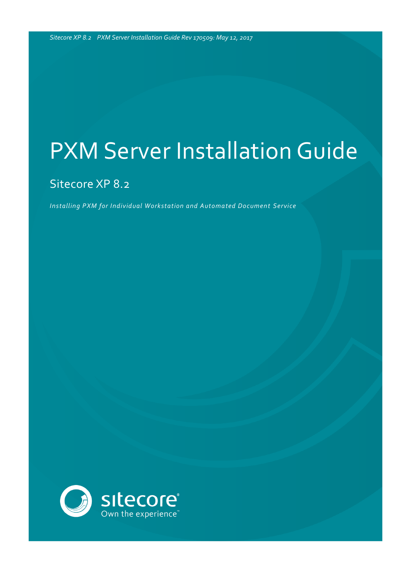### Sitecore XP 8.2

*Installing PXM for Individual Workstation and Automated Document Service*

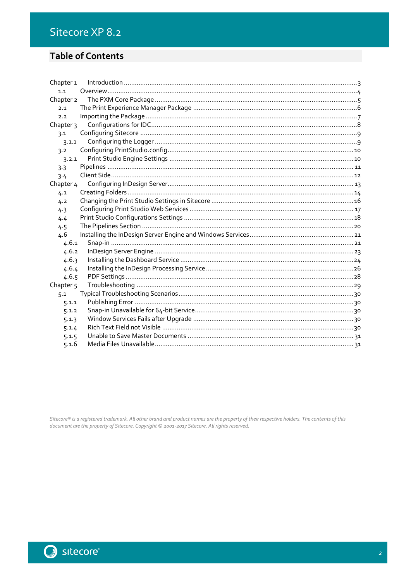### Sitecore XP 8.2

### **Table of Contents**

| Chapter <sub>1</sub> |  |
|----------------------|--|
| 1.1                  |  |
| Chapter 2            |  |
| 2.1                  |  |
| 2.2                  |  |
| Chapter 3            |  |
| 3.1                  |  |
| 3.1.1                |  |
| 3.2                  |  |
| 3.2.1                |  |
| 3.3                  |  |
| 3.4                  |  |
| Chapter 4            |  |
| 4.1                  |  |
| 4.2                  |  |
| 4.3                  |  |
| 4.4                  |  |
| 4.5                  |  |
| 4.6                  |  |
| 4.6.1                |  |
| 4.6.2                |  |
| 4.6.3                |  |
| 4.6.4                |  |
| 4.6.5                |  |
| Chapter <sub>5</sub> |  |
| 5.1                  |  |
| 5.1.1                |  |
| 5.1.2                |  |
| 5.1.3                |  |
| 5.1.4                |  |
| 5.1.5                |  |
| 5.1.6                |  |

Sitecore® is a registered trademark. All other brand and product names are the property of their respective holders. The contents of this document are the property of Sitecore. Copyright © 2001-2017 Sitecore. All rights r

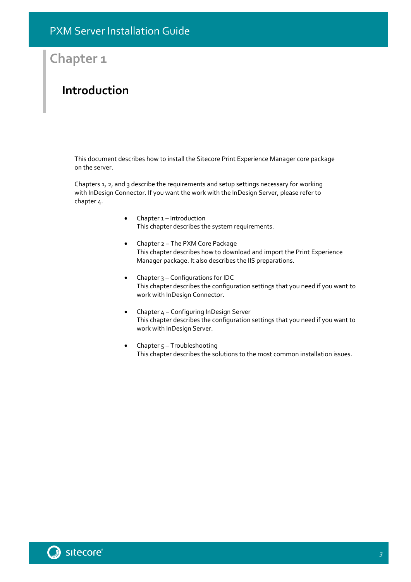## **Chapter 1**

### <span id="page-2-0"></span>**Introduction**

This document describes how to install the Sitecore Print Experience Manager core package on the server.

Chapters 1, 2, and 3 describe the requirements and setup settings necessary for working with InDesign Connector. If you want the work with the InDesign Server, please refer to chapter 4.

- [Chapter 1](#page-2-0) [Introduction](#page-2-0) This chapter describes the system requirements.
- [Chapter 2](#page-4-0) [The PXM Core Package](#page-4-0) This chapter describes how to download and import the Print Experience Manager package. It also describes the IIS preparations.
- [Chapter 3](#page-7-0) [Configurations for IDC](#page-7-0) This chapter describes the configuration settings that you need if you want to work with InDesign Connector.
- [Chapter 4](#page-12-0) [Configuring InDesign Server](#page-12-0) This chapter describes the configuration settings that you need if you want to work with InDesign Server.
- Chapter  $5 -$ [Troubleshooting](#page-28-0) This chapter describes the solutions to the most common installation issues.

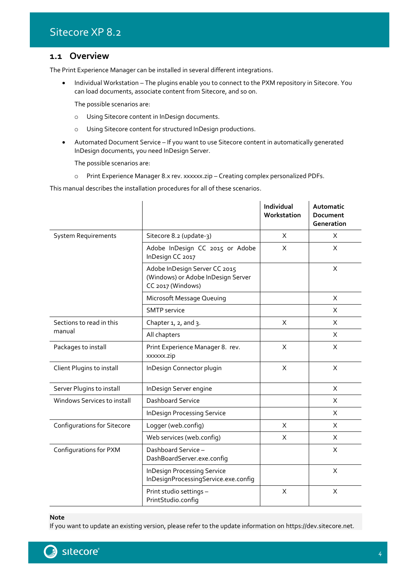### <span id="page-3-0"></span>**1.1 Overview**

The Print Experience Manager can be installed in several different integrations.

• Individual Workstation – The plugins enable you to connect to the PXM repository in Sitecore. You can load documents, associate content from Sitecore, and so on.

The possible scenarios are:

- o Using Sitecore content in InDesign documents.
- o Using Sitecore content for structured InDesign productions.
- Automated Document Service If you want to use Sitecore content in automatically generated InDesign documents, you need InDesign Server.

The possible scenarios are:

o Print Experience Manager 8.x rev. xxxxxx.zip – Creating complex personalized PDFs.

This manual describes the installation procedures for all of these scenarios.

|                                    |                                                                                          | Individual<br>Workstation | Automatic<br><b>Document</b><br>Generation |
|------------------------------------|------------------------------------------------------------------------------------------|---------------------------|--------------------------------------------|
| <b>System Requirements</b>         | Sitecore 8.2 (update-3)                                                                  | X                         | X                                          |
|                                    | Adobe InDesign CC 2015 or Adobe<br>InDesign CC 2017                                      | X                         | X                                          |
|                                    | Adobe InDesign Server CC 2015<br>(Windows) or Adobe InDesign Server<br>CC 2017 (Windows) |                           | X                                          |
|                                    | Microsoft Message Queuing                                                                |                           | X                                          |
|                                    | <b>SMTP</b> service                                                                      |                           | X                                          |
| Sections to read in this           | Chapter $1, 2,$ and $3.$                                                                 | $\sf X$                   | X                                          |
| manual                             | All chapters                                                                             |                           | X                                          |
| Packages to install                | Print Experience Manager 8. rev.<br>xxxxxx.zip                                           | $\sf X$                   | X                                          |
| Client Plugins to install          | InDesign Connector plugin                                                                | X                         | X                                          |
| Server Plugins to install          | InDesign Server engine                                                                   |                           | X                                          |
| Windows Services to install        | Dashboard Service                                                                        |                           | X                                          |
|                                    | <b>InDesign Processing Service</b>                                                       |                           | X                                          |
| <b>Configurations for Sitecore</b> | Logger (web.config)                                                                      | X                         | X                                          |
|                                    | Web services (web.config)                                                                | X                         | X                                          |
| Configurations for PXM             | Dashboard Service-<br>DashBoardServer.exe.config                                         |                           | X                                          |
|                                    | <b>InDesign Processing Service</b><br>InDesignProcessingService.exe.config               |                           | X                                          |
|                                    | Print studio settings -<br>PrintStudio.config                                            | X                         | X                                          |

**Note**

If you want to update an existing version, please refer to the update information on https://dev.sitecore.net.

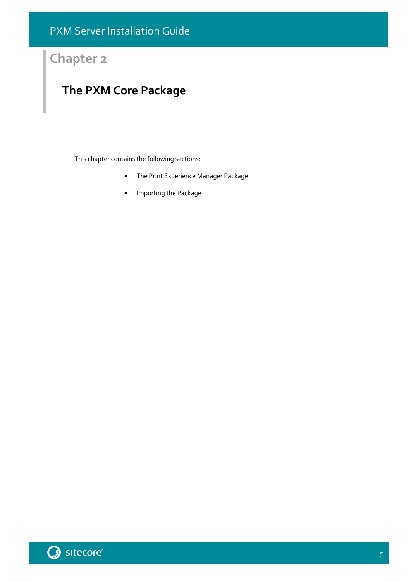## **Chapter 2**

## <span id="page-4-0"></span>**The PXM Core Package**

This chapter contains the following sections:

- [The Print Experience Manager](#page-5-0) Package
- **•** [Importing the Package](#page-6-0)

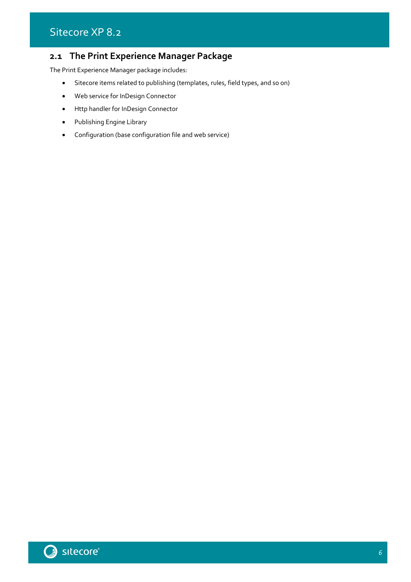### <span id="page-5-0"></span>**2.1 The Print Experience Manager Package**

The Print Experience Manager package includes:

- Sitecore items related to publishing (templates, rules, field types, and so on)
- Web service for InDesign Connector
- Http handler for InDesign Connector
- Publishing Engine Library
- Configuration (base configuration file and web service)

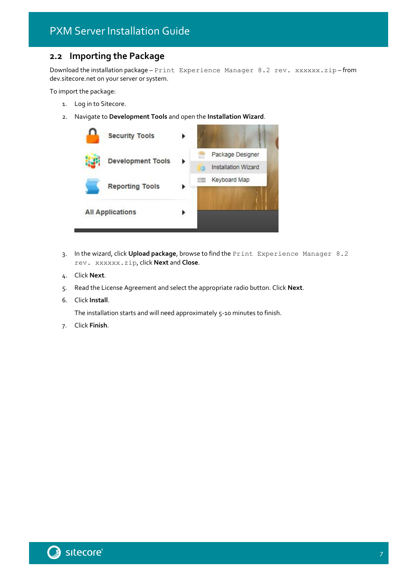### <span id="page-6-0"></span>**2.2 Importing the Package**

Download the installation package - Print Experience Manager 8.2 rev. xxxxxx.zip-from dev.sitecore.net on your server or system.

To import the package:

- 1. Log in to Sitecore.
- 2. Navigate to **Development Tools** and open the **Installation Wizard**.



- 3. In the wizard, click **Upload package**, browse to find the Print Experience Manager 8.2 rev. xxxxxx.zip, click **Next** and **Close**.
- 4. Click **Next**.
- 5. Read the License Agreement and select the appropriate radio button. Click **Next**.
- 6. Click **Install**.

The installation starts and will need approximately 5-10 minutes to finish.

7. Click **Finish**.

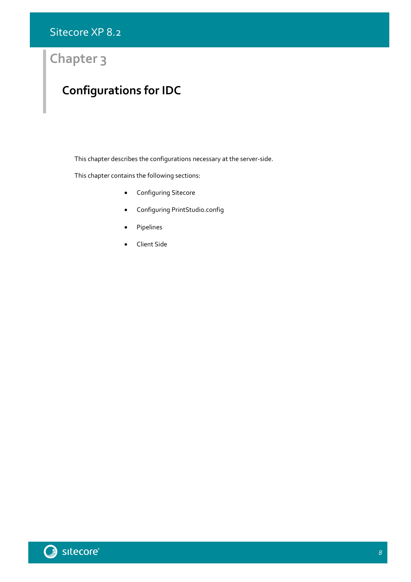## **Chapter 3**

## <span id="page-7-0"></span>**Configurations for IDC**

This chapter describes the configurations necessary at the server-side.

This chapter contains the following sections:

- **•** [Configuring Sitecore](#page-8-0)
- [Configuring PrintStudio.config](#page-9-0)
- [Pipelines](#page-10-0)
- [Client Side](#page-11-0)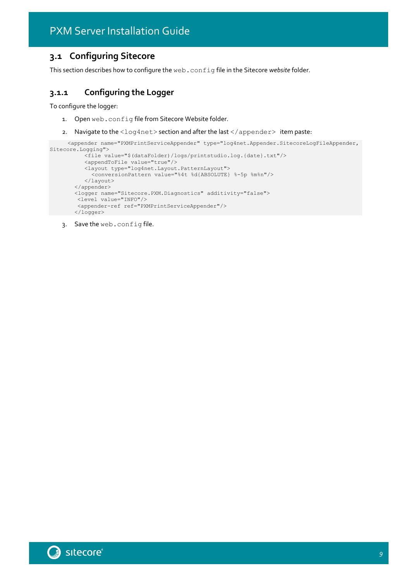### <span id="page-8-0"></span>**3.1 Configuring Sitecore**

<span id="page-8-1"></span>This section describes how to configure the web.config file in the Sitecore *website* folder.

### **3.1.1 Configuring the Logger**

To configure the logger:

- 1. Open web.config file from Sitecore Website folder.
- 2. Navigate to the <log4net> section and after the last </appender> item paste:

```
<appender name="PXMPrintServiceAppender" type="log4net.Appender.SitecoreLogFileAppender, 
Sitecore.Logging">
          <file value="$(dataFolder)/logs/printstudio.log.{date}.txt"/>
```

```
<appendToFile value="true"/>
   <layout type="log4net.Layout.PatternLayout">
     <conversionPattern value="%4t %d{ABSOLUTE} %-5p %m%n"/>
   </layout>
</appender>
<logger name="Sitecore.PXM.Diagnostics" additivity="false">
<level value="INFO"/>
 <appender-ref ref="PXMPrintServiceAppender"/>
</logger>
```
3. Save the web.config file.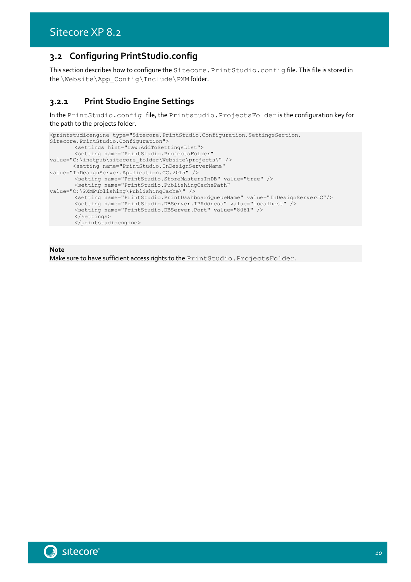### <span id="page-9-0"></span>**3.2 Configuring PrintStudio.config**

This section describes how to configure the Sitecore. PrintStudio.config file. This file is stored in the \Website\App\_Config\Include\PXM folder.

### <span id="page-9-1"></span>**3.2.1 Print Studio Engine Settings**

In the PrintStudio.config file, the Printstudio.ProjectsFolder is the configuration key for the path to the projects folder.

```
<printstudioengine type="Sitecore.PrintStudio.Configuration.SettingsSection, 
Sitecore.PrintStudio.Configuration">
       <settings hint="raw:AddToSettingsList">
       <setting name="PrintStudio.ProjectsFolder" 
value="C:\inetpub\sitecore_folder\Website\projects\" />
       <setting name="PrintStudio.InDesignServerName" 
value="InDesignServer.Application.CC.2015" />
       <setting name="PrintStudio.StoreMastersInDB" value="true" />
       <setting name="PrintStudio.PublishingCachePath" 
value="C:\PXMPublishing\PublishingCache\" />
       <setting name="PrintStudio.PrintDashboardQueueName" value="InDesignServerCC"/>
       <setting name="PrintStudio.DBServer.IPAddress" value="localhost" />
       <setting name="PrintStudio.DBServer.Port" value="8081" />
       </settings>
      </printstudioengine>
```
**Note**

Make sure to have sufficient access rights to the PrintStudio.ProjectsFolder.

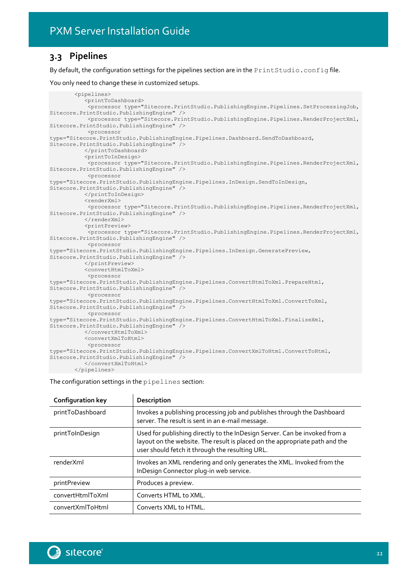### <span id="page-10-0"></span>**3.3 Pipelines**

By default, the configuration settings for the pipelines section are in the PrintStudio.config file.

You only need to change these in customized setups.

<pipelines> <printToDashboard> <processor type="Sitecore.PrintStudio.PublishingEngine.Pipelines.SetProcessingJob, Sitecore.PrintStudio.PublishingEngine" /> <processor type="Sitecore.PrintStudio.PublishingEngine.Pipelines.RenderProjectXml, Sitecore.PrintStudio.PublishingEngine" /> <processor type="Sitecore.PrintStudio.PublishingEngine.Pipelines.Dashboard.SendToDashboard, Sitecore.PrintStudio.PublishingEngine" /> </printToDashboard> <printToInDesign> <processor type="Sitecore.PrintStudio.PublishingEngine.Pipelines.RenderProjectXml, Sitecore.PrintStudio.PublishingEngine" /> <processor type="Sitecore.PrintStudio.PublishingEngine.Pipelines.InDesign.SendToInDesign, Sitecore.PrintStudio.PublishingEngine" /> </printToInDesign> <renderXml> <processor type="Sitecore.PrintStudio.PublishingEngine.Pipelines.RenderProjectXml, Sitecore.PrintStudio.PublishingEngine" /> </renderXml> <printPreview> <processor type="Sitecore.PrintStudio.PublishingEngine.Pipelines.RenderProjectXml, Sitecore.PrintStudio.PublishingEngine" /> <processor type="Sitecore.PrintStudio.PublishingEngine.Pipelines.InDesign.GeneratePreview, Sitecore.PrintStudio.PublishingEngine" /> </printPreview> <convertHtmlToXml> <processor type="Sitecore.PrintStudio.PublishingEngine.Pipelines.ConvertHtmlToXml.PrepareHtml, Sitecore.PrintStudio.PublishingEngine" /> <processor type="Sitecore.PrintStudio.PublishingEngine.Pipelines.ConvertHtmlToXml.ConvertToXml, Sitecore.PrintStudio.PublishingEngine" /> <processor type="Sitecore.PrintStudio.PublishingEngine.Pipelines.ConvertHtmlToXml.FinalizeXml, Sitecore.PrintStudio.PublishingEngine" /> </convertHtmlToXml> <convertXmlToHtml> <processor type="Sitecore.PrintStudio.PublishingEngine.Pipelines.ConvertXmlToHtml.ConvertToHtml, Sitecore.PrintStudio.PublishingEngine" /> </convertXmlToHtml> </pipelines>

The configuration settings in the pipelines section:

| <b>Configuration key</b> | Description                                                                                                                                                                                                  |
|--------------------------|--------------------------------------------------------------------------------------------------------------------------------------------------------------------------------------------------------------|
| printToDashboard         | Invokes a publishing processing job and publishes through the Dashboard<br>server. The result is sent in an e-mail message.                                                                                  |
| printToInDesign          | Used for publishing directly to the InDesign Server. Can be invoked from a<br>layout on the website. The result is placed on the appropriate path and the<br>user should fetch it through the resulting URL. |
| renderXml                | Invokes an XML rendering and only generates the XML. Invoked from the<br>InDesign Connector plug-in web service.                                                                                             |
| printPreview             | Produces a preview.                                                                                                                                                                                          |
| convertHtmlToXml         | Converts HTML to XML.                                                                                                                                                                                        |
| convertXmlToHtml         | Converts XML to HTML.                                                                                                                                                                                        |

11<br>11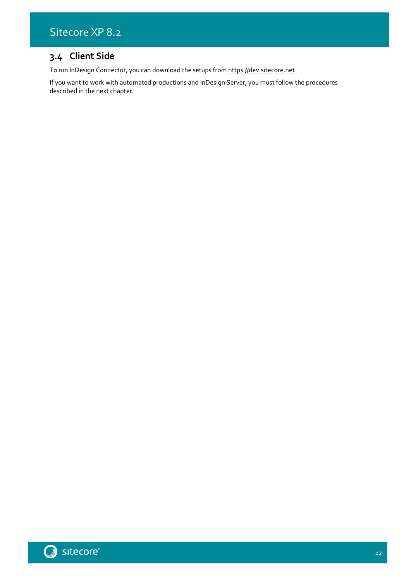### Sitecore XP 8.2

### <span id="page-11-0"></span>**3.4 Client Side**

To run InDesign Connector, you can download the setups from [https://dev.sitecore.net](https://dev.sitecore.net/)

If you want to work with automated productions and InDesign Server, you must follow the procedures described in the next chapter.

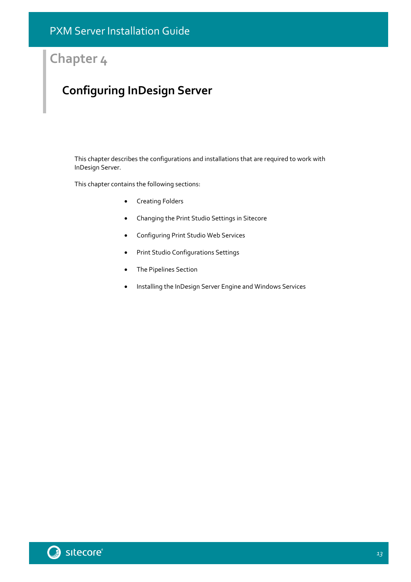## **Chapter 4**

## <span id="page-12-0"></span>**Configuring InDesign Server**

This chapter describes the configurations and installations that are required to work with InDesign Server.

This chapter contains the following sections:

- **•** [Creating Folders](#page-13-0)
- [Changing the Print Studio Settings in Sitecore](#page-15-0)
- [Configuring Print Studio Web Services](#page-16-0)
- **•** [Print Studio Configurations Settings](#page-17-0)
- [The Pipelines Section](#page-19-0)
- [Installing the InDesign Server Engine and Windows Services](#page-20-0)



13<br>13 Marca 1911<br>13 Marca 1920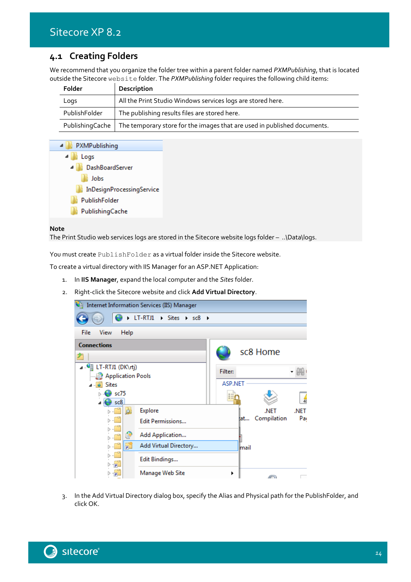### <span id="page-13-0"></span>**4.1 Creating Folders**

We recommend that you organize the folder tree within a parent folder named *PXMPublishing*, that is located outside the Sitecore website folder. The *PXMPublishing* folder requires the following child items:

| Folder        | Description                                                                                 |
|---------------|---------------------------------------------------------------------------------------------|
| Logs          | All the Print Studio Windows services logs are stored here.                                 |
| PublishFolder | The publishing results files are stored here.                                               |
|               | Publishing Cache   The temporary store for the images that are used in published documents. |



#### **Note**

The Print Studio web services logs are stored in the Sitecore website logs folder – ..\Data\logs.

You must create PublishFolder as a virtual folder inside the Sitecore website.

To create a virtual directory with IIS Manager for an ASP.NET Application:

- 1. In **IIS Manager**, expand the local computer and the *Sites* folder.
- 2. Right-click the Sitecore website and click **Add Virtual Directory**.



3. In the Add Virtual Directory dialog box, specify the Alias and Physical path for the PublishFolder, and click OK.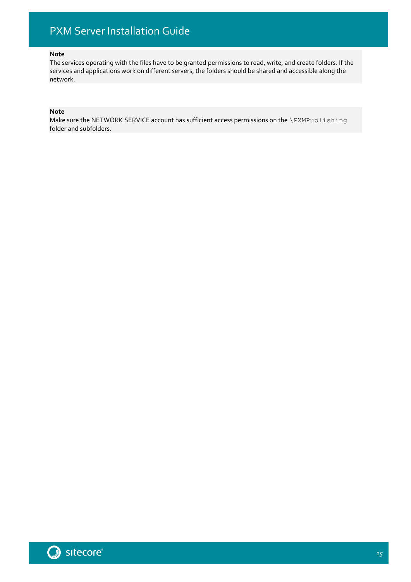### **Note**

The services operating with the files have to be granted permissions to read, write, and create folders. If the services and applications work on different servers, the folders should be shared and accessible along the network.

### **Note**

Make sure the NETWORK SERVICE account has sufficient access permissions on the \PXMPublishing folder and subfolders.

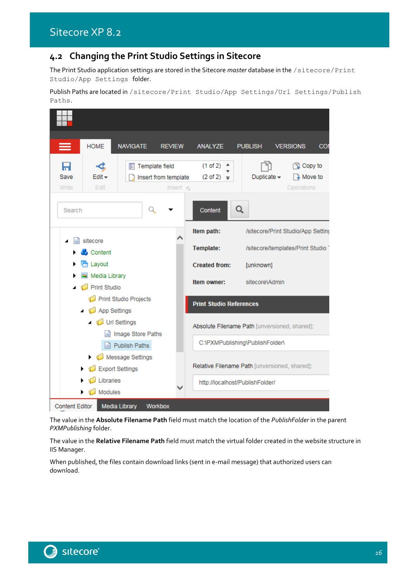### <span id="page-15-0"></span>**4.2 Changing the Print Studio Settings in Sitecore**

The Print Studio application settings are stored in the Sitecore *master* database in the /sitecore/Print Studio/App Settings folder.

Publish Paths are located in /sitecore/Print Studio/App Settings/Url Settings/Publish Paths.

|                                           | <b>HOME</b>                    | <b>NAVIGATE</b>       | <b>REVIEW</b>                                                   | <b>ANALYZE</b>                    | <b>PUBLISH</b>                                | <b>VERSIONS</b><br>COI                             |
|-------------------------------------------|--------------------------------|-----------------------|-----------------------------------------------------------------|-----------------------------------|-----------------------------------------------|----------------------------------------------------|
| Save<br>Write                             | -3,<br>$E$ dit $\star$<br>Edit | ᄩ                     | Template field<br>Insert from template<br>Insert $\mathbf{r}_n$ | (1 of 2)<br>$(2 \text{ of } 2)$ = | Duplicate $\sim$                              | <b>图 Copy to</b><br><b>a</b> Move to<br>Operations |
| Search                                    |                                | Q                     |                                                                 | Content                           | Q                                             |                                                    |
|                                           |                                |                       |                                                                 | Item path:                        |                                               | /sitecore/Print Studio/App Setting                 |
| ◢                                         | sitecore<br><b>A</b> Content   |                       |                                                                 | Template:                         |                                               | /sitecore/templates/Print Studio                   |
|                                           | <b>情</b> Layout                |                       |                                                                 | <b>Created from:</b>              | [unknown]                                     |                                                    |
| Media Library<br>Print Studio             |                                |                       | Item owner:                                                     | sitecore\Admin                    |                                               |                                                    |
|                                           | App Settings                   | Print Studio Projects |                                                                 | <b>Print Studio References</b>    |                                               |                                                    |
|                                           | Url Settings                   |                       |                                                                 |                                   | Absolute Filename Path [unversioned, shared]: |                                                    |
| Image Store Paths<br><b>Publish Paths</b> |                                |                       |                                                                 |                                   | C:\PXMPublishing\PublishFolder\               |                                                    |
|                                           | Export Settings                | Message Settings      |                                                                 |                                   | Relative Filename Path [unversioned, shared]: |                                                    |
|                                           | Libraries<br>Modules<br>G      |                       |                                                                 |                                   | http://localhost/PublishFolder/               |                                                    |
| <b>Content Editor</b>                     |                                | <b>Media Library</b>  | Workbox                                                         |                                   |                                               |                                                    |

The value in the **Absolute Filename Path** field must match the location of the *PublishFolder* in the parent *PXMPublishing* folder.

The value in the **Relative Filename Path** field must match the virtual folder created in the website structure in IIS Manager.

When published, the files contain download links (sent in e-mail message) that authorized users can download.

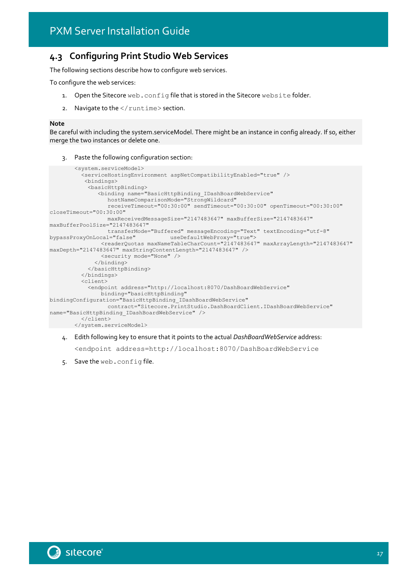### <span id="page-16-0"></span>**4.3 Configuring Print Studio Web Services**

The following sections describe how to configure web services.

To configure the web services:

- 1. Open the Sitecore web.config file that is stored in the Sitecore website folder.
- 2. Navigate to the  $\frac{2}{\pi}$  runtime > section.

#### **Note**

Be careful with including the system.serviceModel. There might be an instance in config already. If so, either merge the two instances or delete one.

3. Paste the following configuration section:

```
<system.serviceModel>
          <serviceHostingEnvironment aspNetCompatibilityEnabled="true" />
           <bindings>
            <basicHttpBinding>
               <binding name="BasicHttpBinding_IDashBoardWebService" 
                  hostNameComparisonMode="StrongWildcard"
                  receiveTimeout="00:30:00" sendTimeout="00:30:00" openTimeout="00:30:00" 
closeTimeout="00:30:00"
                  maxReceivedMessageSize="2147483647" maxBufferSize="2147483647" 
maxBufferPoolSize="2147483647"
                  transferMode="Buffered" messageEncoding="Text" textEncoding="utf-8" 
bypassProxyOnLocal="false" useDefaultWebProxy="true">
                <readerQuotas maxNameTableCharCount="2147483647" maxArrayLength="2147483647" 
maxDepth="2147483647" maxStringContentLength="2147483647" />
                <security mode="None" />
              </binding>
            </basicHttpBinding>
          </bindings>
          <client>
            <endpoint address="http://localhost:8070/DashBoardWebService"
                binding="basicHttpBinding" 
bindingConfiguration="BasicHttpBinding_IDashBoardWebService"
                  contract="Sitecore.PrintStudio.DashBoardClient.IDashBoardWebService" 
name="BasicHttpBinding_IDashBoardWebService" />
          </client>
       </system.serviceModel>
```
4. Edith following key to ensure that it points to the actual *DashBoardWebService* address:

<endpoint address=http://localhost:8070/DashBoardWebService



<sup>5.</sup> Save the web.config file.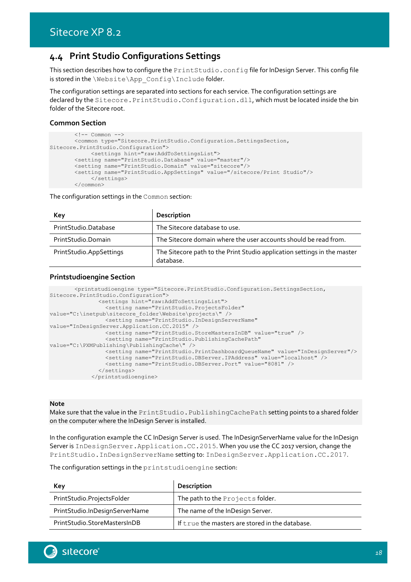### <span id="page-17-0"></span>**4.4 Print Studio Configurations Settings**

This section describes how to configure the PrintStudio.config file for InDesign Server. This config file is stored in the \Website\App\_Config\Include folder.

The configuration settings are separated into sections for each service. The configuration settings are declared by the Sitecore. PrintStudio. Configuration.dll, which must be located inside the bin folder of the Sitecore root.

### **Common Section**

```
\langle!-- Common -->
       <common type="Sitecore.PrintStudio.Configuration.SettingsSection, 
Sitecore.PrintStudio.Configuration">
             <settings hint="raw:AddToSettingsList">
       <setting name="PrintStudio.Database" value="master"/>
       <setting name="PrintStudio.Domain" value="sitecore"/>
       <setting name="PrintStudio.AppSettings" value="/sitecore/Print Studio"/>
            </settings>
       </common>
```
The configuration settings in the Common section:

| Key                     | Description                                                                           |
|-------------------------|---------------------------------------------------------------------------------------|
| PrintStudio.Database    | The Sitecore database to use.                                                         |
| PrintStudio.Domain      | The Sitecore domain where the user accounts should be read from.                      |
| PrintStudio.AppSettings | The Sitecore path to the Print Studio application settings in the master<br>database. |

### **Printstudioengine Section**

```
<printstudioengine type="Sitecore.PrintStudio.Configuration.SettingsSection, 
Sitecore.PrintStudio.Configuration">
              <settings hint="raw:AddToSettingsList">
                 <setting name="PrintStudio.ProjectsFolder" 
value="C:\inetpub\sitecore folder\Website\projects\" />
                <setting name="PrintStudio.InDesignServerName" 
value="InDesignServer.Application.CC.2015" />
                <setting name="PrintStudio.StoreMastersInDB" value="true" />
                <setting name="PrintStudio.PublishingCachePath" 
value="C:\PXMPublishing\PublishingCache\" />
                <setting name="PrintStudio.PrintDashboardQueueName" value="InDesignServer"/>
                <setting name="PrintStudio.DBServer.IPAddress" value="localhost" />
                 <setting name="PrintStudio.DBServer.Port" value="8081" />
              </settings>
            </printstudioengine>
```
#### **Note**

Make sure that the value in the PrintStudio. PublishingCachePath setting points to a shared folder on the computer where the InDesign Server is installed.

In the configuration example the CC InDesign Server is used. The InDesignServerName value for the InDesign Server is InDesignServer.Application.CC.2015. When you use the CC 2017 version, change the PrintStudio.InDesignServerName setting to: InDesignServer.Application.CC.2017.

The configuration settings in the printstudioengine section:

| Key                            | Description                                     |
|--------------------------------|-------------------------------------------------|
| PrintStudio.ProjectsFolder     | The path to the Projects folder.                |
| PrintStudio.InDesignServerName | The name of the InDesign Server.                |
| PrintStudio.StoreMastersInDB   | If true the masters are stored in the database. |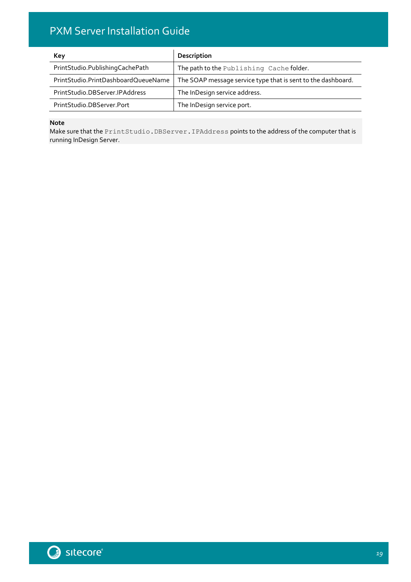| <b>Key</b>                          | Description                                                  |
|-------------------------------------|--------------------------------------------------------------|
| PrintStudio.PublishingCachePath     | The path to the Publishing Cache folder.                     |
| PrintStudio.PrintDashboardQueueName | The SOAP message service type that is sent to the dashboard. |
| PrintStudio.DBServer.IPAddress      | The InDesign service address.                                |
| PrintStudio.DBServer.Port           | The InDesign service port.                                   |

### **Note**

Make sure that the PrintStudio.DBServer.IPAddress points to the address of the computer that is running InDesign Server.

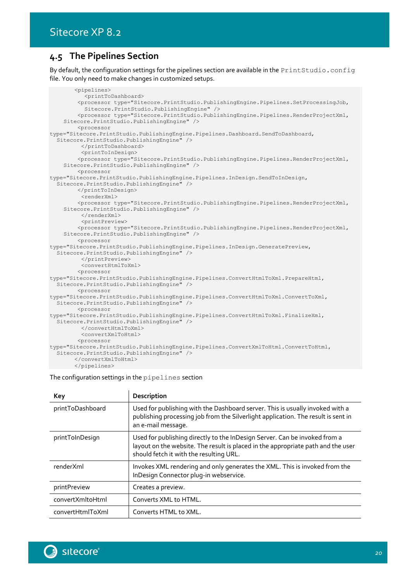### <span id="page-19-0"></span>**4.5 The Pipelines Section**

By default, the configuration settings for the pipelines section are available in the PrintStudio.config file. You only need to make changes in customized setups.

<pipelines> <printToDashboard> <processor type="Sitecore.PrintStudio.PublishingEngine.Pipelines.SetProcessingJob, Sitecore.PrintStudio.PublishingEngine" /> <processor type="Sitecore.PrintStudio.PublishingEngine.Pipelines.RenderProjectXml, Sitecore.PrintStudio.PublishingEngine" /> <processor type="Sitecore.PrintStudio.PublishingEngine.Pipelines.Dashboard.SendToDashboard, Sitecore.PrintStudio.PublishingEngine" /> </printToDashboard> <printToInDesign> <processor type="Sitecore.PrintStudio.PublishingEngine.Pipelines.RenderProjectXml, Sitecore.PrintStudio.PublishingEngine" /> <processor type="Sitecore.PrintStudio.PublishingEngine.Pipelines.InDesign.SendToInDesign, Sitecore.PrintStudio.PublishingEngine" /> </printToInDesign> <renderXml> <processor type="Sitecore.PrintStudio.PublishingEngine.Pipelines.RenderProjectXml, Sitecore.PrintStudio.PublishingEngine" /> </renderXml> <printPreview> <processor type="Sitecore.PrintStudio.PublishingEngine.Pipelines.RenderProjectXml, Sitecore.PrintStudio.PublishingEngine" /> <processor type="Sitecore.PrintStudio.PublishingEngine.Pipelines.InDesign.GeneratePreview, Sitecore.PrintStudio.PublishingEngine" /> </printPreview> <convertHtmlToXml> <processor type="Sitecore.PrintStudio.PublishingEngine.Pipelines.ConvertHtmlToXml.PrepareHtml, Sitecore.PrintStudio.PublishingEngine" /> <processor type="Sitecore.PrintStudio.PublishingEngine.Pipelines.ConvertHtmlToXml.ConvertToXml, Sitecore.PrintStudio.PublishingEngine" /> <processor type="Sitecore.PrintStudio.PublishingEngine.Pipelines.ConvertHtmlToXml.FinalizeXml, Sitecore.PrintStudio.PublishingEngine" /> </convertHtmlToXml> <convertXmlToHtml> <processor type="Sitecore.PrintStudio.PublishingEngine.Pipelines.ConvertXmlToHtml.ConvertToHtml, Sitecore.PrintStudio.PublishingEngine" /> </convertXmlToHtml> </pipelines>

The configuration settings in the pipelines section

| Key              | Description                                                                                                                                                                                               |
|------------------|-----------------------------------------------------------------------------------------------------------------------------------------------------------------------------------------------------------|
| printToDashboard | Used for publishing with the Dashboard server. This is usually invoked with a<br>publishing processing job from the Silverlight application. The result is sent in<br>an e-mail message.                  |
| printToInDesign  | Used for publishing directly to the InDesign Server. Can be invoked from a<br>layout on the website. The result is placed in the appropriate path and the user<br>should fetch it with the resulting URL. |
| renderXml        | Invokes XML rendering and only generates the XML. This is invoked from the<br>InDesign Connector plug-in webservice.                                                                                      |
| printPreview     | Creates a preview.                                                                                                                                                                                        |
| convertXmltoHtml | Converts XML to HTML.                                                                                                                                                                                     |
| convertHtmlToXml | Converts HTML to XML.                                                                                                                                                                                     |

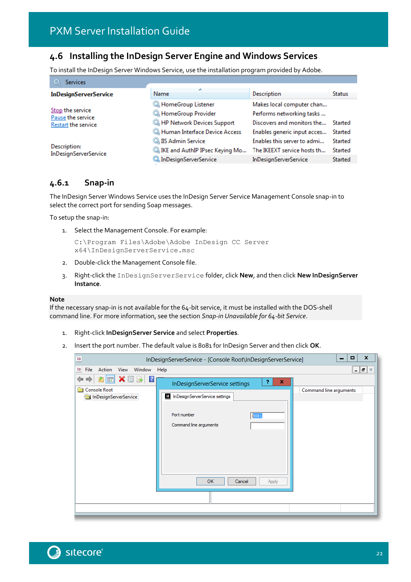### <span id="page-20-0"></span>**4.6 Installing the InDesign Server Engine and Windows Services**

To install the InDesign Server Windows Service, use the installation program provided by Adobe.

| $\circ$<br><b>Services</b>                                   |                                                                                                |                                                                                           |                               |
|--------------------------------------------------------------|------------------------------------------------------------------------------------------------|-------------------------------------------------------------------------------------------|-------------------------------|
| <b>InDesignServerService</b>                                 | Name                                                                                           | <b>Description</b>                                                                        | <b>Status</b>                 |
| Stop the service<br>Pause the service<br>Restart the service | HomeGroup Listener<br>HomeGroup Provider<br>HP Network Devices Support                         | Makes local computer chan<br>Performs networking tasks<br>Discovers and monitors the      | Started                       |
| Description:                                                 | Human Interface Device Access<br><b>WE IIS Admin Service</b><br>IKE and AuthIP IPsec Keying Mo | Enables generic input acces<br>Enables this server to admi<br>The IKEEXT service hosts th | Started<br>Started<br>Started |
| InDesignServerService                                        | <b>C.</b> InDesignServerService                                                                | <b>InDesignServerService</b>                                                              | Started                       |

### <span id="page-20-1"></span>**4.6.1 Snap-in**

The InDesign Server Windows Service uses the InDesign Server Service Management Console snap-in to select the correct port for sending Soap messages.

To setup the snap-in:

1. Select the Management Console. For example:

```
C:\Program Files\Adobe\Adobe InDesign CC Server 
x64\InDesignServerService.msc
```
- 2. Double-click the Management Console file.
- 3. Right-click the InDesignServerService folder, click **New**, and then click **New InDesignServer Instance**.

#### **Note**

If the necessary snap-in is not available for the 64-bit service, it must be installed with the DOS-shell command line. For more information, see the section *[Snap-in Unavailable for 64-bit Service](#page-29-2)*.

- 1. Right-click **InDesignServer Service** and select **Properties**.
- 2. Insert the port number. The default value is 8081 for InDesign Server and then click **OK**.

| $\overline{10}$                                                                   | InDesignServerService - [Console Root\InDesignServerService]                                                                                | $\mathbf x$<br>$\Box$<br>$\overline{\phantom{0}}$ |
|-----------------------------------------------------------------------------------|---------------------------------------------------------------------------------------------------------------------------------------------|---------------------------------------------------|
| Action<br>View<br>Window<br>File<br>ID                                            | Help                                                                                                                                        | $F \times$<br>$\overline{\phantom{0}}$            |
| FXEB<br>$\overline{?}$<br>⇚<br><b>Console Root</b><br>89<br>InDesignServerService | 7<br>x<br>InDesignServerService settings<br>If InDesignServerService settings<br>Port number<br>3081<br>Command line arguments<br><b>OK</b> | Command line arguments                            |
|                                                                                   | Cancel<br>Apply                                                                                                                             |                                                   |
|                                                                                   |                                                                                                                                             |                                                   |
|                                                                                   |                                                                                                                                             |                                                   |

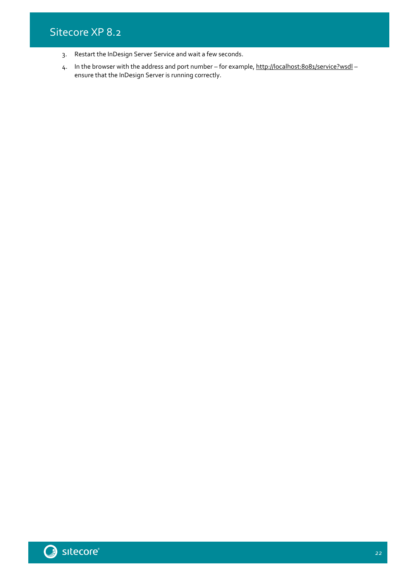- 3. Restart the InDesign Server Service and wait a few seconds.
- 4. In the browser with the address and port number for example[, http://localhost:8081/service?wsdl](http://localhost:8081/service?wsdl) ensure that the InDesign Server is running correctly.

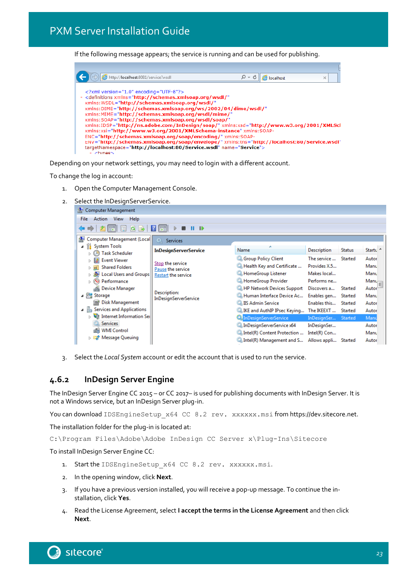If the following message appears; the service is running and can be used for publishing.

| http://localhost:8081/service?wsdl                                                                                                                                                                                                                                                                                                                                                                                                                                                                                                                                                                                                                                                                                                                                            | localhost | × |
|-------------------------------------------------------------------------------------------------------------------------------------------------------------------------------------------------------------------------------------------------------------------------------------------------------------------------------------------------------------------------------------------------------------------------------------------------------------------------------------------------------------------------------------------------------------------------------------------------------------------------------------------------------------------------------------------------------------------------------------------------------------------------------|-----------|---|
| xml version="1.0" encoding="UTF-8"?<br>- <definitions <br="" xmlns="http://schemas.xmlsoap.org/wsdl/">xmlns: WSDL="http://schemas.xmlsoap.org/wsdl/"<br/>xmlns:DIME="http://schemas.xmlsoap.org/ws/2002/04/dime/wsdl/"<br/>xmlns:MIME="http://schemas.xmlsoap.org/wsdl/mime/"<br/>xmlns:SOAP="http://schemas.xmlsoap.org/wsdl/soap/"<br/>xmlns:IDSP="http://ns.adobe.com/InDesign/soap/"xmlns:xsd="http://www.w3.org/2001/XMLScl<br/>xmlns:xsi="http://www.w3.org/2001/XMLSchema-instance" xmlns:SOAP-<br/>ENC="http://schemas.xmlsoap.org/soap/encoding/" xmlns:SOAP-<br/>ENV="http://schemas.xmlsoap.org/soap/envelope/" xmlns:tns="http://localhost:80/Service.wsdl'<br/>targetNamespace="http://localhost:80/Service.wsdl" name="Service"&gt;<br/>- ztvnack</definitions> |           |   |

Depending on your network settings, you may need to login with a different account.

To change the log in account:

- 1. Open the Computer Management Console.
- 2. Select the InDesignServerService.



3. Select the *Local System* account or edit the account that is used to run the service.

### <span id="page-22-0"></span>**4.6.2 InDesign Server Engine**

The InDesign Server Engine CC 2015 – or CC 2017– is used for publishing documents with InDesign Server. It is not a Windows service, but an InDesign Server plug-in.

You can download IDSEngineSetup\_x64 CC 8.2 rev. xxxxxx.msi from https://dev.sitecore.net.

The installation folder for the plug-in is located at:

```
C:\Program Files\Adobe\Adobe InDesign CC Server x\Plug-Ins\Sitecore
```
To install InDesign Server Engine CC:

- 1. Start the IDSEngineSetup x64 CC 8.2 rev. xxxxxx.msi.
- 2. In the opening window, click **Next**.
- 3. If you have a previous version installed, you will receive a pop-up message. To continue the installation, click **Yes**.
- 4. Read the License Agreement, select **I accept the terms in the License Agreement** and then click **Next**.

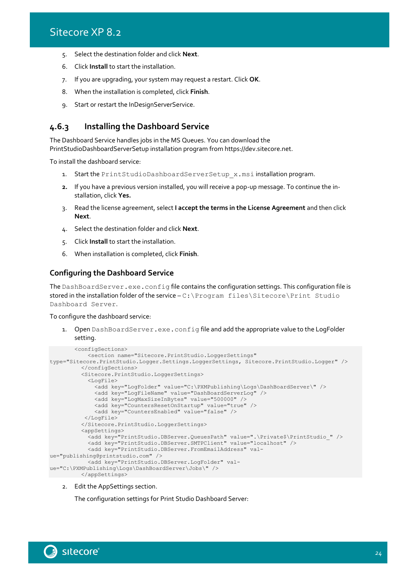- 5. Select the destination folder and click **Next**.
- 6. Click **Install** to start the installation.
- 7. If you are upgrading, your system may request a restart. Click **OK**.
- 8. When the installation is completed, click **Finish**.
- 9. Start or restart the InDesignServerService.

### <span id="page-23-0"></span>**4.6.3 Installing the Dashboard Service**

The Dashboard Service handles jobs in the MS Queues. You can download the PrintStudioDashboardServerSetup installation program from https://dev.sitecore.net.

To install the dashboard service:

- 1. Start the PrintStudioDashboardServerSetup x.msi installation program.
- **2.** If you have a previous version installed, you will receive a pop-up message. To continue the installation, click **Yes.**
- 3. Read the license agreement, select **I accept the terms in the License Agreement** and then click **Next**.
- 4. Select the destination folder and click **Next**.
- 5. Click **Install** to start the installation.
- 6. When installation is completed, click **Finish**.

#### **Configuring the Dashboard Service**

The DashBoardServer.exe.config file contains the configuration settings. This configuration file is stored in the installation folder of the service – C:\Program files\Sitecore\Print Studio Dashboard Server.

#### To configure the dashboard service:

Open DashBoardServer.exe.config file and add the appropriate value to the LogFolder setting.

```
<configSections>
            <section name="Sitecore.PrintStudio.LoggerSettings" 
type="Sitecore.PrintStudio.Logger.Settings.LoggerSettings, Sitecore.PrintStudio.Logger" />
          </configSections>
          <Sitecore.PrintStudio.LoggerSettings>
            <LogFile>
               <add key="LogFolder" value="C:\PXMPublishing\Logs\DashBoardServer\" />
              <add key="LogFileName" value="DashBoardServerLog" />
              <add key="LogMaxSizeInBytes" value="500000" />
              <add key="CountersResetOnStartup" value="true" />
              <add key="CountersEnabled" value="false" /> 
          </LogFile>
          </Sitecore.PrintStudio.LoggerSettings>
           <appSettings>
            <add key="PrintStudio.DBServer.QueuesPath" value=".\Private$\PrintStudio_" />
            <add key="PrintStudio.DBServer.SMTPClient" value="localhost" />
            <add key="PrintStudio.DBServer.FromEmailAddress" val-
ue="publishing@printstudio.com" />
            <add key="PrintStudio.DBServer.LogFolder" val-
ue="C:\PXMPublishing\Logs\DashBoardServer\Jobs\" />
          </appSettings>
```
2. Edit the AppSettings section.

The configuration settings for Print Studio Dashboard Server:

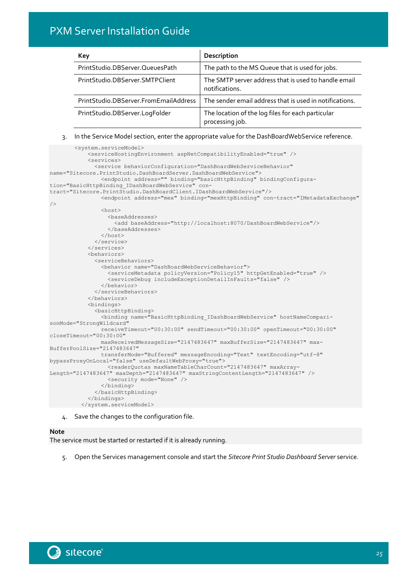| Key                                   | Description                                                            |
|---------------------------------------|------------------------------------------------------------------------|
| PrintStudio.DBServer.QueuesPath       | The path to the MS Queue that is used for jobs.                        |
| PrintStudio.DBServer.SMTPClient       | The SMTP server address that is used to handle email<br>notifications. |
| PrintStudio.DBServer.FromEmailAddress | The sender email address that is used in notifications.                |
| PrintStudio.DBServer.LogFolder        | The location of the log files for each particular<br>processing job.   |

#### 3. In the Service Model section, enter the appropriate value for the DashBoardWebService reference.

```
<system.serviceModel>
             <serviceHostingEnvironment aspNetCompatibilityEnabled="true" />
             <services>
               <service behaviorConfiguration="DashBoardWebServiceBehavior" 
name="Sitecore.PrintStudio.DashBoardServer.DashBoardWebService">
         <endpoint address="" binding="basicHttpBinding" bindingConfigura-
tion="BasicHttpBinding_IDashBoardWebService" con-
tract="Sitecore.PrintStudio.DashBoardClient.IDashBoardWebService"/>
                <endpoint address="mex" binding="mexHttpBinding" con-tract="IMetadataExchange" 
/>
               <host>
                   <baseAddresses>
                    <add baseAddress="http://localhost:8070/DashBoardWebService"/>
                   </baseAddresses>
               \langle/host>
               </service>
             </services>
             <behaviors>
               <serviceBehaviors>
                 <behavior name="DashBoardWebServiceBehavior">
                   <serviceMetadata policyVersion="Policy15" httpGetEnabled="true" />
                   <serviceDebug includeExceptionDetailInFaults="false" />
                </behavior>
               </serviceBehaviors>
             </behaviors>
             <bindings>
              <basicHttpBinding>
                <binding name="BasicHttpBinding_IDashBoardWebService" hostNameCompari-
sonMode="StrongWildcard"
                 receiveTimeout="00:30:00" sendTimeout="00:30:00" openTimeout="00:30:00" 
closeTimeout="00:30:00"
                maxReceivedMessageSize="2147483647" maxBufferSize="2147483647" max-
BufferPoolSize="2147483647"
                transferMode="Buffered" messageEncoding="Text" textEncoding="utf-8" 
bypassProxyOnLocal="false" useDefaultWebProxy="true">
                  <readerQuotas maxNameTableCharCount="2147483647" maxArray-
Length="2147483647" maxDepth="2147483647" maxStringContentLength="2147483647" />
                   <security mode="None" />
                 </binding>
               </basicHttpBinding>
             </bindings>
          </system.serviceModel>
```
4. Save the changes to the configuration file.

#### **Note**

The service must be started or restarted if it is already running.

5. Open the Services management console and start the *Sitecore Print Studio Dashboard Server* service.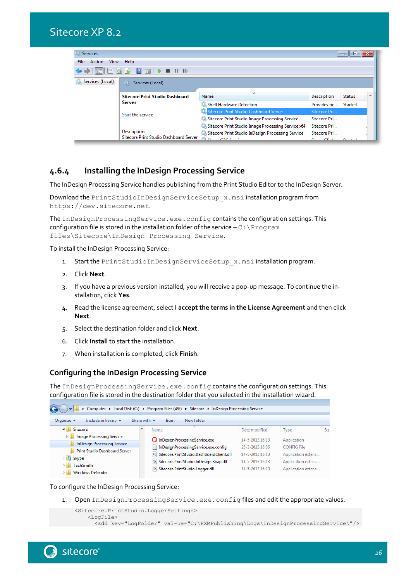

### <span id="page-25-0"></span>**4.6.4 Installing the InDesign Processing Service**

The InDesign Processing Service handles publishing from the Print Studio Editor to the InDesign Server.

Download the PrintStudioInDesignServiceSetup\_x.msi installation program from https://dev.sitecore.net.

The InDesignProcessingService.exe.config contains the configuration settings. This configuration file is stored in the installation folder of the service  $-C:\P$  rogram files\Sitecore\InDesign Processing Service.

To install the InDesign Processing Service:

- 1. Start the PrintStudioInDesignServiceSetup x.msi installation program.
- 2. Click **Next**.
- 3. If you have a previous version installed, you will receive a pop-up message. To continue the installation, click **Yes**.
- 4. Read the license agreement, select **I accept the terms in the License Agreement** and then click **Next**.
- 5. Select the destination folder and click **Next**.
- 6. Click **Install** to start the installation.
- 7. When installation is completed, click **Finish**.

### **Configuring the InDesign Processing Service**

The InDesignProcessingService.exe.config contains the configuration settings. This configuration file is stored in the destination folder that you selected in the installation wizard.

| Computer ▶ Local Disk (C:) ▶ Program Files (x86) ▶ Sitecore ▶ InDesign Processing Service |                                                                                  |                                    |                                          |      |  |  |  |
|-------------------------------------------------------------------------------------------|----------------------------------------------------------------------------------|------------------------------------|------------------------------------------|------|--|--|--|
| Organize $\blacktriangledown$<br>Include in library $\blacktriangledown$                  | New folder<br>Share with $\blacktriangledown$<br>Burn                            |                                    |                                          |      |  |  |  |
| Sitecore<br>◢                                                                             | ≖<br>Name                                                                        | Date modified                      | <b>Type</b>                              | Sizi |  |  |  |
| <b>Image Processing Service</b><br>$\triangleright$<br><b>InDesign Processing Service</b> | <b>O</b> InDesignProcessingService.exe                                           | 14-5-2013 16:13                    | Application                              |      |  |  |  |
| <b>Print Studio Dashboard Server</b><br>$\triangleright$ <b>B</b> Skype                   | InDesignProcessingService.exe.config<br>Sitecore.PrintStudio.DashBoardClient.dll | 25-3-2013 16:06<br>14-5-2013 16:13 | <b>CONFIG File</b><br>Application extens |      |  |  |  |
| <b>TechSmith</b><br><b>Windows Defender</b><br>▷                                          | Sitecore.PrintStudio.InDesign.Soap.dll<br>Sitecore.PrintStudio.Logger.dll        | 14-5-2013 16:13<br>14-5-2013 16:13 | Application extens<br>Application extens |      |  |  |  |

To configure the InDesign Processing Service:

1. Open InDesignProcessingService.exe.config files and edit the appropriate values.

```
<Sitecore.PrintStudio.LoggerSettings>
     <LogFile>
```
<add key="LogFolder" val-ue="C:\PXMPublishing\Logs\InDesignProcessingService\"/>

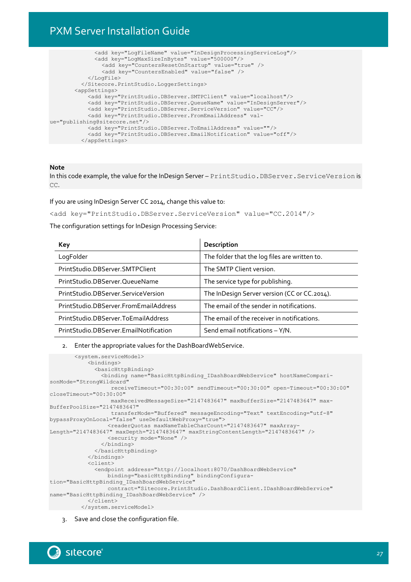```
 <add key="LogFileName" value="InDesignProcessingServiceLog"/>
              <add key="LogMaxSizeInBytes" value="500000"/>
                <add key="CountersResetOnStartup" value="true" />
                <add key="CountersEnabled" value="false" />
            </LogFile>
          </Sitecore.PrintStudio.LoggerSettings>
       <appSettings>
             <add key="PrintStudio.DBServer.SMTPClient" value="localhost"/>
            <add key="PrintStudio.DBServer.QueueName" value="InDesignServer"/>
            <add key="PrintStudio.DBServer.ServiceVersion" value="CC"/>
            <add key="PrintStudio.DBServer.FromEmailAddress" val-
ue="publishing@sitecore.net"/>
           <add key="PrintStudio.DBServer.ToEmailAddress" value=""/>
            <add key="PrintStudio.DBServer.EmailNotification" value="off"/>
          </appSettings>
```
#### **Note**

In this code example, the value for the InDesign Server – PrintStudio.DBServer.ServiceVersion is CC.

If you are using InDesign Server CC 2014, change this value to:

<add key="PrintStudio.DBServer.ServiceVersion" value="CC.2014"/>

The configuration settings for InDesign Processing Service:

| Key                                    | Description                                   |
|----------------------------------------|-----------------------------------------------|
| LogFolder                              | The folder that the log files are written to. |
| PrintStudio.DBServer.SMTPClient        | The SMTP Client version.                      |
| PrintStudio.DBServer.QueueName         | The service type for publishing.              |
| PrintStudio.DBServer.ServiceVersion    | The InDesign Server version (CC or CC.2014).  |
| PrintStudio.DBServer.FromEmailAddress  | The email of the sender in notifications.     |
| PrintStudio.DBServer.ToEmailAddress    | The email of the receiver in notifications.   |
| PrintStudio.DBServer.EmailNotification | Send email notifications $-$ Y/N.             |

#### 2. Enter the appropriate values for the DashBoardWebService.

```
<system.serviceModel>
            <bindings>
              <basicHttpBinding>
                <binding name="BasicHttpBinding_IDashBoardWebService" hostNameCompari-
sonMode="StrongWildcard"
                    receiveTimeout="00:30:00" sendTimeout="00:30:00" open-Timeout="00:30:00" 
closeTimeout="00:30:00"
                   maxReceivedMessageSize="2147483647" maxBufferSize="2147483647" max-
BufferPoolSize="2147483647"
                   transferMode="Buffered" messageEncoding="Text" textEncoding="utf-8" 
bypassProxyOnLocal="false" useDefaultWebProxy="true">
                   <readerQuotas maxNameTableCharCount="2147483647" maxArray-
Length="2147483647" maxDepth="2147483647" maxStringContentLength="2147483647" />
                   <security mode="None" />
                </binding>
               </basicHttpBinding>
            </bindings>
            <client>
               <endpoint address="http://localhost:8070/DashBoardWebService"
                  binding="basicHttpBinding" bindingConfigura-
tion="BasicHttpBinding_IDashBoardWebService"
                  contract="Sitecore.PrintStudio.DashBoardClient.IDashBoardWebService" 
name="BasicHttpBinding_IDashBoardWebService" />
            </client>
        </system.serviceModel>
```
### 3. Save and close the configuration file.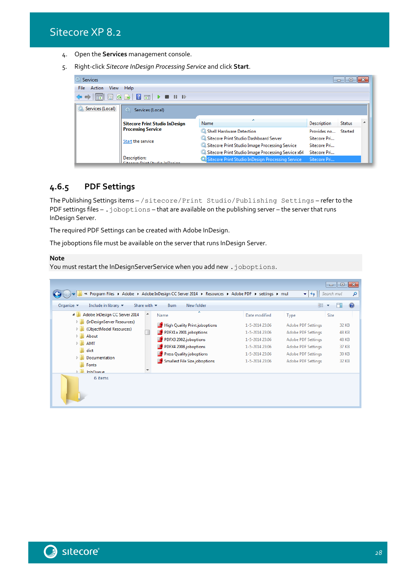Sitecore XP 8.2

- 4. Open the **Services** management console.
- 5. Right-click *Sitecore InDesign Processing Service* and click **Start**.



### <span id="page-27-0"></span>**4.6.5 PDF Settings**

The Publishing Settings items – /sitecore/Print Studio/Publishing Settings – refer to the PDF settings files – . joboptions – that are available on the publishing server – the server that runs InDesign Server.

The required PDF Settings can be created with Adobe InDesign.

The joboptions file must be available on the server that runs InDesign Server.

#### **Note**

You must restart the InDesignServerService when you add new . joboptions.

|                                                                                                                                                                                                                                                    | « Program Files ▶ Adobe ▶ Adobe InDesign CC Server 2014 ▶ Resources ▶ Adobe PDF ▶ settings ▶ mul                                                                                                |                                                                                                                           | ÷<br>$++$                                                                                                                                                            | $\mathbf{x}$<br>$\Box$<br>$\Box$<br>Search mul<br>۹        |
|----------------------------------------------------------------------------------------------------------------------------------------------------------------------------------------------------------------------------------------------------|-------------------------------------------------------------------------------------------------------------------------------------------------------------------------------------------------|---------------------------------------------------------------------------------------------------------------------------|----------------------------------------------------------------------------------------------------------------------------------------------------------------------|------------------------------------------------------------|
| Organize $\blacktriangledown$<br>Include in library $\blacktriangledown$                                                                                                                                                                           | Share with $\blacktriangledown$<br><b>Burn</b><br>New folder                                                                                                                                    |                                                                                                                           | 睚                                                                                                                                                                    | $\overline{Q}$                                             |
| Adobe InDesign CC Server 2014<br>$\overline{a}$<br>(InDesignServer Resources)<br>D.<br>(ObjectModel Resources)<br>D.<br>About<br>Þ<br>$\triangleright$<br><b>AMT</b><br>dict<br>Documentation<br>Þ<br>Fonts<br>$\triangleright$<br><b>InhOueue</b> | -<br>۸<br>Name<br><b>High Quality Print.joboptions</b><br>PDFX1a 2001.joboptions<br>PDFX3 2002.joboptions<br>PDFX4 2008.joboptions<br>Press Quality.joboptions<br>Smallest File Size.joboptions | Date modified<br>1-5-2014 23:06<br>1-5-2014 23:06<br>1-5-2014 23:06<br>1-5-2014 23:06<br>1-5-2014 23:06<br>1-5-2014 23:06 | Type<br><b>Adobe PDF Settings</b><br><b>Adobe PDF Settings</b><br>Adobe PDF Settings<br>Adobe PDF Settings<br><b>Adobe PDF Settings</b><br><b>Adobe PDF Settings</b> | Size<br>32 KB<br>48 KB<br>48 KB<br>37 KB<br>30 KB<br>32 KB |
| 6 items                                                                                                                                                                                                                                            |                                                                                                                                                                                                 |                                                                                                                           |                                                                                                                                                                      |                                                            |

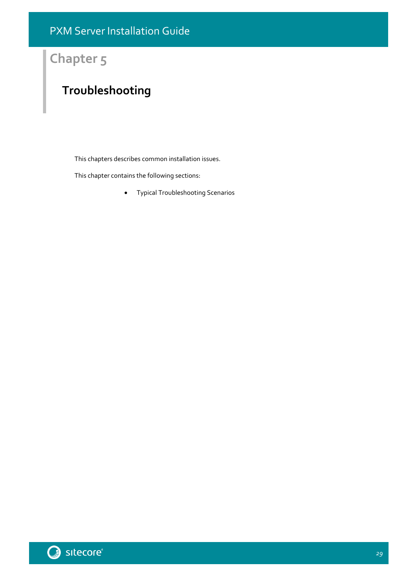## **Chapter 5**

## <span id="page-28-0"></span>**Troubleshooting**

This chapters describes common installation issues.

This chapter contains the following sections:

[Typical Troubleshooting Scenarios](#page-29-0)

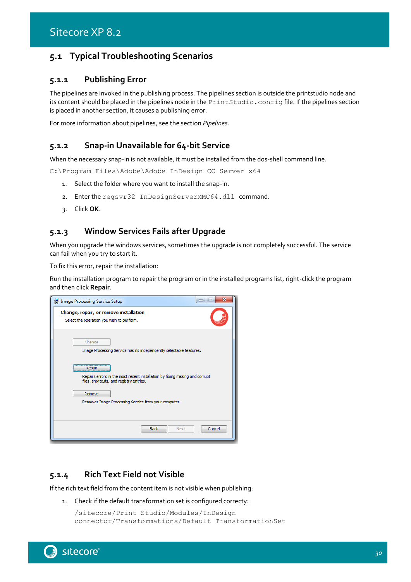### <span id="page-29-1"></span><span id="page-29-0"></span>**5.1 Typical Troubleshooting Scenarios**

### **5.1.1 Publishing Error**

The pipelines are invoked in the publishing process. The pipelines section is outside the printstudio node and its content should be placed in the pipelines node in the PrintStudio.config file. If the pipelines section is placed in another section, it causes a publishing error.

<span id="page-29-2"></span>For more information about pipelines, see the section *[Pipelines](#page-10-0)*.

### **5.1.2 Snap-in Unavailable for 64-bit Service**

When the necessary snap-in is not available, it must be installed from the dos-shell command line.

C:\Program Files\Adobe\Adobe InDesign CC Server x64

- 1. Select the folder where you want to install the snap-in.
- 2. Enter the regsvr32 InDesignServerMMC64.dll command.
- 3. Click **OK**.

### <span id="page-29-3"></span>**5.1.3 Window Services Fails after Upgrade**

When you upgrade the windows services, sometimes the upgrade is not completely successful. The service can fail when you try to start it.

To fix this error, repair the installation:

Run the installation program to repair the program or in the installed programs list, right-click the program and then click **Repair**.

| 33<br>10<br>Image Processing Service Setup<br>-                                                                                   |
|-----------------------------------------------------------------------------------------------------------------------------------|
| Change, repair, or remove installation<br>Select the operation you wish to perform.                                               |
| Change<br>Image Processing Service has no independently selectable features.                                                      |
| Repair<br>Repairs errors in the most recent installation by fixing missing and corrupt<br>files, shortcuts, and registry entries. |
| Remove<br>Removes Image Processing Service from your computer.                                                                    |
| Cancel<br><b>Back</b><br>Next                                                                                                     |

### <span id="page-29-4"></span>**5.1.4 Rich Text Field not Visible**

If the rich text field from the content item is not visible when publishing:

1. Check if the default transformation set is configured correcty:

```
/sitecore/Print Studio/Modules/InDesign 
connector/Transformations/Default TransformationSet
```